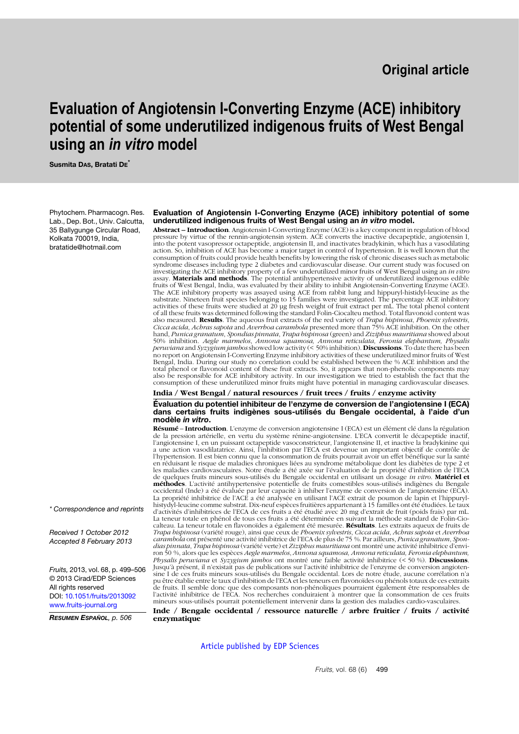# **Original article**

# **Evaluation of Angiotensin I-Converting Enzyme (ACE) inhibitory potential of some underutilized indigenous fruits of West Bengal using an** *in vitro* **model**

**Susmita DAS, Bratati DE\***

Phytochem. Pharmacogn. Res. Lab., Dep. Bot., Univ. Calcutta, 35 Ballygunge Circular Road, Kolkata 700019, India, bratatide@hotmail.com

#### **Evaluation of Angiotensin I-Converting Enzyme (ACE) inhibitory potential of some underutilized indigenous fruits of West Bengal using an** *in vitro* **model.**

**Abstract – Introduction**. Angiotensin I-Converting Enzyme (ACE) is a key component in regulation of blood pressure by virtue of the rennin-angiotensin system. ACE converts the inactive decapeptide, angiotensin I, into the potent vasopressor octapeptide, angiotensin II, and inactivates bradykinin, which has a vasodilating action. So, inhibition of ACE has become a major target in control of hypertension. It is well known that the consumption of fruits could provide health benefits by lowering the risk of chronic diseases such as metabolic syndrome diseases including type 2 diabetes and cardiovascular disease. Our current study was focused on investigating the ACE inhibitory property of a few underutilized minor fruits of West Bengal using an *in vitro*<br>assay. **Materials and methods**. The potential antihypertensive activity of underutilized indigenous edible<br>fr The ACE inhibitory property was assayed using ACE from rabbit lung and hippuryl-histidyl-leucine as the<br>substrate. Nineteen fruit species belonging to 15 families were investigated. The percentage ACE inhibitory<br>activities of all these fruits was determined following the standard Folin-Ciocalteu method. Total flavonoid content was also measured. Results. The aqueous fruit extracts of the red variety of *Trapa bispinosa, Phoenix sylvestris,*<br>Cicca acida, Achras sapota and Averrhoa carambola presented more than 75% ACE inhibition. On the other hand, *Punica granatum, Spondias pinnata, Trapa bispinosa* (green) and Zizip*bus mauritiana* showed about<br>50% inhibition. *Aegle marmelos, Annona squamosa, Annona reticulata, Feronia elepbantum, Pbysalis<br><i>peruvia* no report on Angiotensin I-Converting Enzyme inhibitory activities of these underutilized minor fruits of West Bengal, India. During our study no correlation could be established between the % ACE inhibition and the total phenol or flavonoid content of these fruit extracts. So, it appears that non-phenolic components may also be responsible for ACE inhibitory activity. In our investigation we tried to establish the fact that the consumption of these underutilized minor fruits might have potential in managing cardiovascular diseases.

#### **India / West Bengal / natural resources / fruit trees / fruits / enzyme activity**

**Évaluation du potentiel inhibiteur de l'enzyme de conversion de l'angiotensine I (ECA) dans certains fruits indigènes sous-utilisés du Bengale occidental, à l'aide d'un modèle** *in vitro***.**

**Résumé** – **Introduction**. L'enzyme de conversion angiotensine I (ECA) est un élément clé dans la régulation de la pression artérielle, en vertu du système rénine-angiotensine. L'ECA convertit le décapeptide inactif, l'angiotensine I, en un puissant octapeptide vasoconstricteur, l'angiotensine II, et inactive la bradykinine qui a une action vasodilatatrice. Ainsi, l'inhibition par l'ECA est devenue un important objectif de contrôle de l'hypertension. Il est bien connu que la consommation de fruits pourrait avoir un effet bénéfique sur la santé en réduisant le risque de maladies chroniques liées au syndrome métabolique dont les diabètes de type 2 et les maladies cardiovasculaires. Notre étude a été axée sur l'évaluation de la propriété d'inhibition de l'ECA<br>de quelques fruits mineurs sous-utilisés du Bengale occidental en utilisant un dosage *in vitro.* **Matériel et méthodes**. L'activité antihypertensive potentielle de fruits comestibles sous-utilisés indigènes du Bengale occidental (Inde) a été évaluée par leur capacité à inhiber l'enzyme de conversion de l'angiotensine (ECA). La propriété inhibitrice de l'ACE a été analysée en utilisant l'ACE extrait de poumon de lapin et l'hippurylhistydyl-leucine comme substrat. Dix-neuf espèces fruitières appartenant à 15 familles ont été étudiées. Le taux<br>d'activités d'inhibitrices de l'ECA de ces fruits a été étudié avec 20 mg d'extrait de fruit (poids frais) pa La teneur totale en phénol de tous ces fruits a été déterminée en suivant la méthode standard de Folin-Ciocalteau. La teneur totale en flavonoïdes a également été mesurée. **Résultats**. Les extraits aqueux de fruits de *Trapa bispinosa* (variété rouge), ainsi que ceux de *Phoenix sylvestris, Cicca acida, Acbras sapota* et *Averrhoa<br>carambola* ont présenté une activité inhibitrice de l'ECA de plus de 75 %. Par ailleurs, *Punica granatum,* ron 50 %, alors que les espèces *Aegle marmelos, Annona squamosa, Annona reticulata, Feronia elephantum,*<br>*Physalis peruviana* et *Syzygium jambos* ont montré une faible activité inhibitrice (< 50 %). **Discussions**. Jusqu'à présent, il n'existait pas de publications sur l'activité inhibitrice de l'enzyme de conversion angiotensine I de ces fruits mineurs sous-utilisés du Bengale occidental. Lors de notre étude, aucune corrélation n'a pu être établie entre le taux d'inhibition de l'ECA et les teneurs en flavonoïdes ou phénols totaux de ces extraits de fruits. Il semble donc que des composants non-phénoliques pourraient également être responsables de l'activité inhibitrice de l'ECA. Nos recherches conduiraient à montrer que la consommation de ces fruits mineurs sous-utilisés pourrait potentiellement intervenir dans la gestion des maladies cardio-vasculaires.

**Inde / Bengale occidental / ressource naturelle / arbre fruitier / fruits / activité enzymatique**

[Article published by EDP Sciences](http://publications.edpsciences.org)

*\* Correspondence and reprints*

*Received 1 October 2012 Accepted 8 February 2013*

*Fruits,* 2013, vol. 68, p. 499–506 © 2013 Cirad/EDP Sciences All rights reserved DOI: [10.1051/fruits/2013092](http://dx.doi.org/10.1051/fruits/2013092) [www.fruits-journal.org](http://dx.doi.org/10.1051/fruits/2013092)

*RESUMEN ESPAÑOL, p. 506*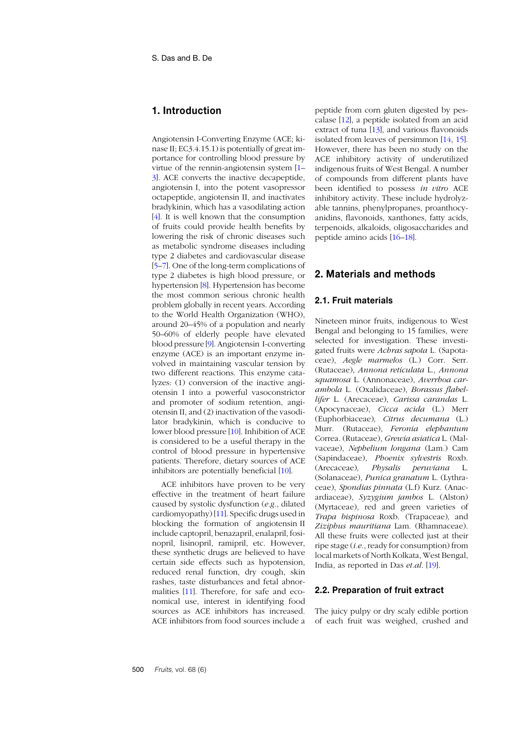# **1. Introduction**

Angiotensin I-Converting Enzyme (ACE; kinase II; EC3.4.15.1) is potentially of great importance for controlling blood pressure by virtue of the rennin-angiotensin system [[1](#page-5-0)[–](#page-5-1) 3]. ACE converts the inactive decapeptide, angiotensin I, into the potent vasopressor octapeptide, angiotensin II, and inactivates bradykinin, which has a vasodilating action [[4](#page-5-2)]. It is well known that the consumption of fruits could provide health benefits by lowering the risk of chronic diseases such as metabolic syndrome diseases including type 2 diabetes and cardiovascular disease [[5](#page-5-3)[–7](#page-5-4)]. One of the long-term complications of type 2 diabetes is high blood pressure, or hypertension [\[8](#page-5-5)]. Hypertension has become the most common serious chronic health problem globally in recent years. According to the World Health Organization (WHO), around 20–45% of a population and nearly 50–60% of elderly people have elevated blood pressure [\[9](#page-5-6)]. Angiotensin I-converting enzyme (ACE) is an important enzyme involved in maintaining vascular tension by two different reactions. This enzyme catalyzes: (1) conversion of the inactive angiotensin I into a powerful vasoconstrictor and promoter of sodium retention, angiotensin II, and (2) inactivation of the vasodilator bradykinin, which is conducive to lower blood pressure [[10](#page-5-7)]. Inhibition of ACE is considered to be a useful therapy in the control of blood pressure in hypertensive patients. Therefore, dietary sources of ACE inhibitors are potentially beneficial [1[0](#page-5-7)].

ACE inhibitors have proven to be very effective in the treatment of heart failure caused by systolic dysfunction (*e.g*., dilated cardiomyopathy) [[11](#page-5-8)]. Specific drugs used in blocking the formation of angiotensin II include captopril, benazapril, enalapril, fosinopril, lisinopril, ramipril, etc. However, these synthetic drugs are believed to have certain side effects such as hypotension, reduced renal function, dry cough, skin rashes, taste disturbances and fetal abnormalities [1[1](#page-5-8)]. Therefore, for safe and economical use, interest in identifying food sources as ACE inhibitors has increased. ACE inhibitors from food sources include a peptide from corn gluten digested by pescalase [[12](#page-5-9)], a peptide isolated from an acid extract of tuna [[13](#page-6-0)], and various flavonoids isolated from leaves of persimmon [1[4](#page-6-1), 1[5](#page-6-2)]. However, there has been no study on the ACE inhibitory activity of underutilized indigenous fruits of West Bengal. A number of compounds from different plants have been identified to possess *in vitro* ACE inhibitory activity. These include hydrolyzable tannins, phenylpropanes, proanthocyanidins, flavonoids, xanthones, fatty acids, terpenoids, alkaloids, oligosaccharides and peptide amino acids [1[6](#page-6-3)–1[8](#page-6-4)].

# **2. Materials and methods**

## **2.1. Fruit materials**

Nineteen minor fruits, indigenous to West Bengal and belonging to 15 families, were selected for investigation. These investigated fruits were *Achras sapota* L. (Sapotaceae), *Aegle marmelos* (L.) Corr. Serr. (Rutaceae), *Annona reticulata* L., *Annona squamosa* L. (Annonaceae), *Averrhoa carambola* L. (Oxalidaceae), *Borassus flabellifer* L. (Arecaceae), *Carissa carandas* L. (Apocynaceae), *Cicca acida* (L.) Merr (Euphorbiaceae)*, Citrus decumana* (L.) Murr. (Rutaceae), *Feronia elephantum* Correa. (Rutaceae), *Grewia asiatica* L. (Malvaceae), *Nephelium longana* (Lam.) Cam (Sapindaceae), *Phoenix sylvestris* Roxb. (Arecaceae)*, Physalis peruviana* L. (Solanaceae), *Punica granatum* L. (Lythraceae), *Spondias pinnata* (L.f) Kurz. (Anacardiaceae), *Syzygium jambos* L. (Alston) (Myrtaceae), red and green varieties of *Trapa bispinosa* Roxb. (Trapaceae)*,* and *Ziziphus mauritiana* Lam. (Rhamnaceae). All these fruits were collected just at their ripe stage (*i.e.*, ready for consumption) from local markets of North Kolkata, West Bengal, India, as reported in Das *et.al*. [1[9](#page-6-5)].

### **2.2. Preparation of fruit extract**

The juicy pulpy or dry scaly edible portion of each fruit was weighed, crushed and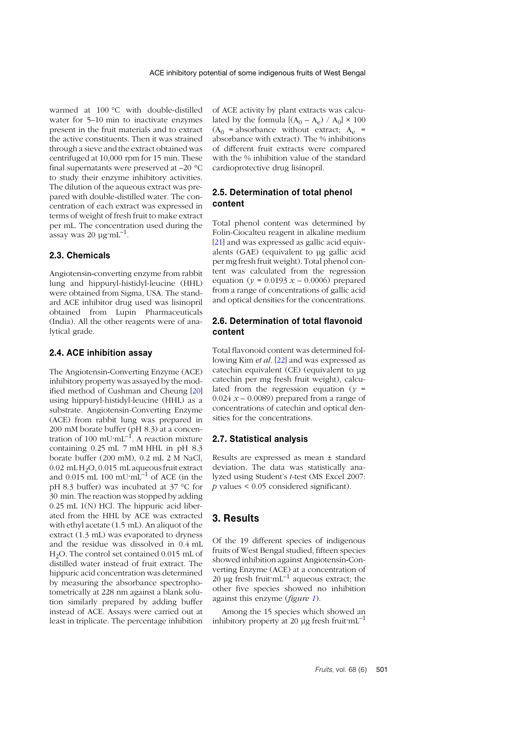warmed at 100 °C with double-distilled water for 5–10 min to inactivate enzymes present in the fruit materials and to extract the active constituents. Then it was strained through a sieve and the extract obtained was centrifuged at 10,000 rpm for 15 min. These final supernatants were preserved at –20 °C to study their enzyme inhibitory activities. The dilution of the aqueous extract was prepared with double-distilled water. The concentration of each extract was expressed in terms of weight of fresh fruit to make extract per mL. The concentration used during the assay was 20  $\mu$ g·mL<sup>-1</sup>.

#### **2.3. Chemicals**

Angiotensin**-**converting enzyme from rabbit lung and hippuryl-histidyl-leucine (HHL) were obtained from Sigma, USA. The standard ACE inhibitor drug used was lisinopril obtained from Lupin Pharmaceuticals (India). All the other reagents were of analytical grade.

#### **2.4. ACE inhibition assay**

The Angiotensin**-**Converting Enzyme (ACE) inhibitory property was assayed by the modified method of Cushman and Cheung [[20](#page-6-6)] using hippuryl-histidyl-leucine (HHL) as a substrate. Angiotensin-Converting Enzyme (ACE) from rabbit lung was prepared in 200 mM borate buffer (pH 8.3) at a concentration of 100 mU $\text{mL}^{-1}$ . A reaction mixture containing 0.25 mL 7 mM HHL in pH 8.3 borate buffer (200 mM), 0.2 mL 2 M NaCl, 0.02 mL H2O, 0.015 mL aqueous fruit extract and 0.015 mL 100 mU $\cdot$ mL<sup>-1</sup> of ACE (in the pH 8.3 buffer) was incubated at 37 °C for 30 min. The reaction was stopped by adding 0.25 mL 1(N) HCl. The hippuric acid liberated from the HHL by ACE was extracted with ethyl acetate (1.5 mL). An aliquot of the extract (1.3 mL) was evaporated to dryness and the residue was dissolved in 0.4 mL H2O. The control set contained 0.015 mL of distilled water instead of fruit extract. The hippuric acid concentration was determined by measuring the absorbance spectrophotometrically at 228 nm against a blank solution similarly prepared by adding buffer instead of ACE. Assays were carried out at least in triplicate. The percentage inhibition

of ACE activity by plant extracts was calculated by the formula  $[(A_0 - A_e) / A_0] \times 100$  $(A<sub>0</sub> = absorbance without extract; A<sub>e</sub> =$ absorbance with extract). The % inhibitions of different fruit extracts were compared with the % inhibition value of the standard cardioprotective drug lisinopril.

## **2.5. Determination of total phenol content**

Total phenol content was determined by Folin-Ciocalteu reagent in alkaline medium [2[1](#page-6-7)] and was expressed as gallic acid equivalents (GAE) (equivalent to µg gallic acid per mg fresh fruit weight). Total phenol content was calculated from the regression equation ( $y = 0.0193 x - 0.0006$ ) prepared from a range of concentrations of gallic acid and optical densities for the concentrations.

# **2.6. Determination of total flavonoid content**

Total flavonoid content was determined following Kim *et al.* [[22](#page-6-8)] and was expressed as catechin equivalent (CE) (equivalent to ug) catechin per mg fresh fruit weight), calculated from the regression equation ( $\nu$  =  $0.024$   $x - 0.0089$ ) prepared from a range of concentrations of catechin and optical densities for the concentrations.

#### **2.7. Statistical analysis**

Results are expressed as mean ± standard deviation. The data was statistically analyzed using Student's *t*-test (MS Excel 2007: *p* values < 0.05 considered significant).

# **3. Results**

Of the 19 different species of indigenous fruits of West Bengal studied, fifteen species showed inhibition against Angiotensin**-**Converting Enzyme (ACE) at a concentration of 20 µg fresh fruit $mL^{-1}$  aqueous extract; the other five species showed no inhibition against this enzyme (*figure [1](#page-3-0)*).

Among the 15 species which showed an inhibitory property at 20 µg fresh fruit $mL^{-1}$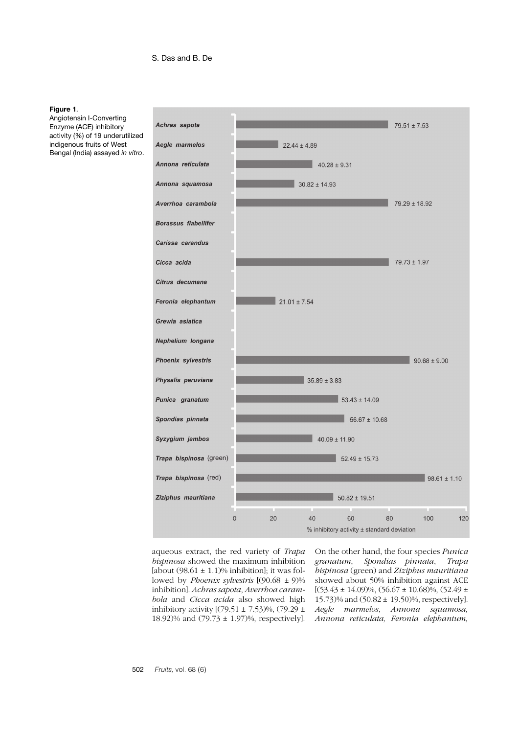#### <span id="page-3-0"></span>**Figure 1**.

Angiotensin I-Converting Enzyme (ACE) inhibitory activity (%) of 19 underutilized indigenous fruits of West Bengal (India) assayed *in vitro*.



aqueous extract, the red variety of *Trapa bispinosa* showed the maximum inhibition [about  $(98.61 \pm 1.1)\%$  inhibition]; it was followed by *Phoenix sylvestris* [(90.68 ± 9)% inhibition]. *Achras sapota*, *Averrhoa carambola* and *Cicca acida* also showed high inhibitory activity  $[(79.51 \pm 7.53)\%, (79.29 \pm$ 18.92)% and (79.73 ± 1.97)%, respectively].

On the other hand, the four species *Punica granatum*, *Spondias pinnata*, *Trapa bispinosa* (green) and *Ziziphus mauritiana* showed about 50% inhibition against ACE  $[(53.43 \pm 14.09)\%, (56.67 \pm 10.68)\%, (52.49 \pm 10.69)\]$ 15.73)% and (50.82 ± 19.50)%, respectively]. *Aegle marmelos*, *Annona squamosa, Annona reticulata, Feronia elephantum,*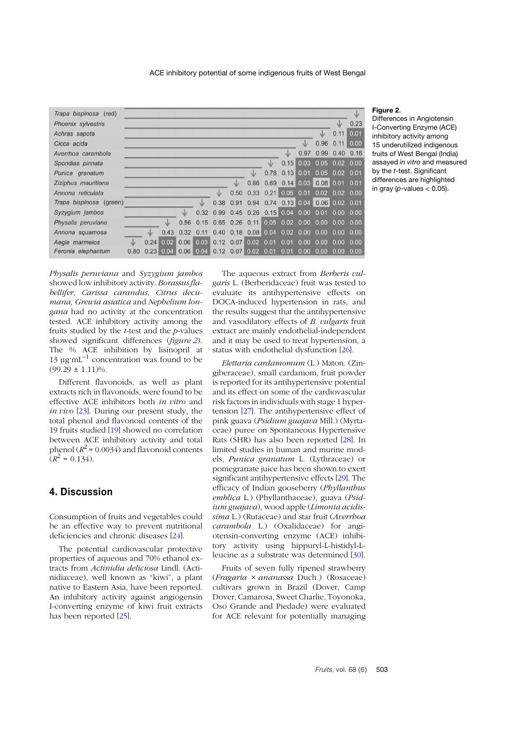

### <span id="page-4-0"></span>**Figure 2**.

Differences in Angiotensin I-Converting Enzyme (ACE) inhibitory activity among 15 underutilized indigenous fruits of West Bengal (India) assayed *in vitro* and measured by the *t*-test. Significant differences are highlighted in gray ( $p$ -values  $< 0.05$ ).

*Physalis peruviana* and *Syzygium jambos* showed low inhibitory activity. *Borassus flabellifer, Carissa carandus, Citrus decumana, Grewia asiatica* and *Nephelium longana* had no activity at the concentration tested*.* ACE inhibitory activity among the fruits studied by the *t-*test and the *p*-values showed significant differences (*figure [2](#page-4-0)*). The % ACE inhibition by lisinopril at 13  $\mu$ g·mL<sup>-1</sup> concentration was found to be  $(99.29 \pm 1.11)\%$ .

Different flavonoids, as well as plant extracts rich in flavonoids, were found to be effective ACE inhibitors both *in vitro* and *in vivo* [[23](#page-6-9)]. During our present study, the total phenol and flavonoid contents of the 19 fruits studied [[19](#page-6-5)] showed no correlation between ACE inhibitory activity and total phenol  $(R^2 = 0.0034)$  and flavonoid contents  $(R^2 = 0.134)$ .

# **4. Discussion**

Consumption of fruits and vegetables could be an effective way to prevent nutritional deficiencies and chronic diseases [[24](#page-6-10)].

The potential cardiovascular protective properties of aqueous and 70% ethanol extracts from *Actinidia deliciosa* Lindl. (Actinidiaceae), well known as "kiwi", a plant native to Eastern Asia, have been reported. An inhibitory activity against angiogensin I-converting enzyme of kiwi fruit extracts has been reported [[25](#page-6-11)].

The aqueous extract from *Berberis vulgaris* L. (Berberidaceae) fruit was tested to evaluate its antihypertensive effects on DOCA-induced hypertension in rats, and the results suggest that the antihypertensive and vasodilatory effects of *B. vulgaris* fruit extract are mainly endothelial-independent and it may be used to treat hypertension, a status with endothelial dysfunction [2[6](#page-6-12)].

*Elettaria cardamomum* (L.) Maton. (Zingiberaceae), small cardamom, fruit powder is reported for its antihypertensive potential and its effect on some of the cardiovascular risk factors in individuals with stage 1 hypertension [2[7](#page-6-13)]. The antihypertensive effect of pink guava (*Psidium guajava* Mill.) (Myrtaceae) puree on Spontaneous Hypertensive Rats (SHR) has also been reported [[28](#page-6-14)]. In limited studies in human and murine models, *Punica granatum* L. (Lythraceae) or pomegranate juice has been shown to exert significant antihypertensive effects [[29](#page-6-15)]. The efficacy of Indian gooseberry (*Phyllanthus emblica* L.) (Phyllanthaceae), guava (*Psidium guajava*), wood apple (*Limonia acidissima* L.) (Rutaceae) and star fruit (*Averrhoa carambola* L.) (Oxalidaceae) for angiotensin-converting enzyme (ACE) inhibitory activity using hippuryl-L-histidyl-Lleucine as a substrate was determined [3[0](#page-6-16)].

Fruits of seven fully ripened strawberry (*Fragaria* × *ananassa* Duch.) (Rosaceae) cultivars grown in Brazil (Dover, Camp Dover, Camarosa, Sweet Charlie, Toyonoka, Oso Grande and Piedade) were evaluated for ACE relevant for potentially managing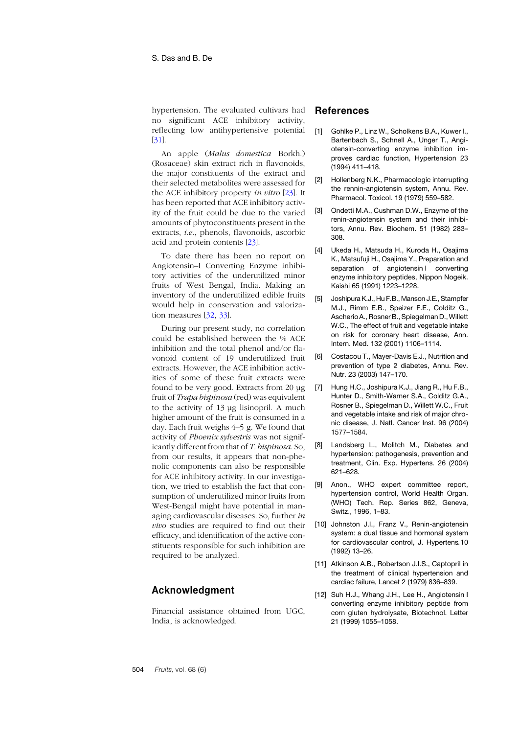hypertension. The evaluated cultivars had no significant ACE inhibitory activity, reflecting low antihypertensive potential [[31](#page-6-17)].

An apple (*Malus domestica* Borkh.) (Rosaceae) skin extract rich in flavonoids, the major constituents of the extract and their selected metabolites were assessed for the ACE inhibitory property *in vitro* [2[3](#page-6-9)]. It has been reported that ACE inhibitory activity of the fruit could be due to the varied amounts of phytoconstituents present in the extracts, *i.e*., phenols, flavonoids, ascorbic acid and protein contents [2[3](#page-6-9)].

To date there has been no report on Angiotensin–I Converting Enzyme inhibitory activities of the underutilized minor fruits of West Bengal, India. Making an inventory of the underutilized edible fruits would help in conservation and valorization measures [[32](#page-6-18), [33](#page-6-19)].

During our present study, no correlation could be established between the % ACE inhibition and the total phenol and/or flavonoid content of 19 underutilized fruit extracts. However, the ACE inhibition activities of some of these fruit extracts were found to be very good. Extracts from 20 µg fruit of *Trapa bispinosa* (red) was equivalent to the activity of 13 µg lisinopril. A much higher amount of the fruit is consumed in a day. Each fruit weighs 4–5 g. We found that activity of *Phoenix sylvestris* was not significantly different from that of *T. bispinosa*. So, from our results, it appears that non-phenolic components can also be responsible for ACE inhibitory activity. In our investigation, we tried to establish the fact that consumption of underutilized minor fruits from West-Bengal might have potential in managing cardiovascular diseases. So, further *in vivo* studies are required to find out their efficacy, and identification of the active constituents responsible for such inhibition are required to be analyzed.

# **Acknowledgment**

Financial assistance obtained from UGC, India, is acknowledged.

# **References**

- <span id="page-5-0"></span>[1] Gohlke P., Linz W., Scholkens B.A., Kuwer I., Bartenbach S., Schnell A., Unger T., Angiotensin-converting enzyme inhibition improves cardiac function, Hypertension 23 (1994) 411–418.
- [2] Hollenberg N.K., Pharmacologic interrupting the rennin-angiotensin system, Annu. Rev. Pharmacol. Toxicol. 19 (1979) 559–582.
- <span id="page-5-1"></span>[3] Ondetti M.A., Cushman D.W., Enzyme of the renin-angiotensin system and their inhibitors, Annu. Rev. Biochem. 51 (1982) 283– 308.
- <span id="page-5-2"></span>[4] Ukeda H., Matsuda H., Kuroda H., Osajima K., Matsufuji H., Osajima Y., Preparation and separation of angiotensin I converting enzyme inhibitory peptides, Nippon Nogeik. Kaishi 65 (1991) 1223–1228.
- <span id="page-5-3"></span>[5] Joshipura K.J., Hu F.B., Manson J.E., Stampfer M.J., Rimm E.B., Speizer F.E., Colditz G., Ascherio A., Rosner B., Spiegelman D.,Willett W.C., The effect of fruit and vegetable intake on risk for coronary heart disease, Ann. Intern. Med. 132 (2001) 1106–1114.
- [6] Costacou T., Mayer-Davis E.J., Nutrition and prevention of type 2 diabetes, Annu. Rev. Nutr. 23 (2003) 147–170.
- <span id="page-5-4"></span>[7] Hung H.C., Joshipura K.J., Jiang R., Hu F.B., Hunter D., Smith-Warner S.A., Colditz G.A., Rosner B., Spiegelman D., Willett W.C., Fruit and vegetable intake and risk of major chronic disease, J. Natl. Cancer Inst. 96 (2004) 1577–1584.
- <span id="page-5-5"></span>[8] Landsberg L., Molitch M., Diabetes and hypertension: pathogenesis, prevention and treatment, Clin. Exp. Hypertens*.* 26 (2004) 621–628.
- <span id="page-5-6"></span>[9] Anon., WHO expert committee report, hypertension control, World Health Organ. (WHO) Tech. Rep. Series 862, Geneva, Switz., 1996, 1–83.
- <span id="page-5-7"></span>[10] Johnston J.I., Franz V., Renin-angiotensin system: a dual tissue and hormonal system for cardiovascular control, J. Hypertens*.*10 (1992) 13–26.
- <span id="page-5-8"></span>[11] Atkinson A.B., Robertson J.I.S., Captopril in the treatment of clinical hypertension and cardiac failure, Lancet 2 (1979) 836–839.
- <span id="page-5-9"></span>[12] Suh H.J., Whang J.H., Lee H., Angiotensin I converting enzyme inhibitory peptide from corn gluten hydrolysate, Biotechnol. Letter 21 (1999) 1055–1058.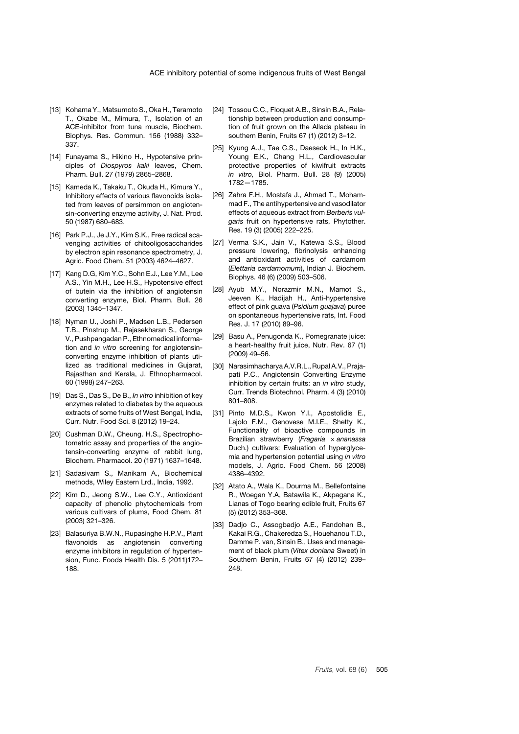- <span id="page-6-0"></span>[13] Kohama Y., Matsumoto S., Oka H., Teramoto T., Okabe M., Mimura, T., Isolation of an ACE-inhibitor from tuna muscle, Biochem. Biophys. Res. Commun. 156 (1988) 332– 337.
- <span id="page-6-1"></span>[14] Funayama S., Hikino H., Hypotensive principles of *Diospyros kaki* leaves, Chem. Pharm. Bull. 27 (1979) 2865–2868.
- <span id="page-6-2"></span>[15] Kameda K., Takaku T., Okuda H., Kimura Y., Inhibitory effects of various flavonoids isolated from leaves of persimmon on angiotensin-converting enzyme activity, J. Nat. Prod. 50 (1987) 680–683.
- <span id="page-6-3"></span>[16] Park P.J., Je J.Y., Kim S.K., Free radical scavenging activities of chitooligosaccharides by electron spin resonance spectrometry, J. Agric. Food Chem. 51 (2003) 4624–4627.
- [17] Kang D.G, Kim Y.C., Sohn E.J., Lee Y.M., Lee A.S., Yin M.H., Lee H.S., Hypotensive effect of butein via the inhibition of angiotensin converting enzyme, Biol. Pharm. Bull. 26 (2003) 1345–1347.
- <span id="page-6-4"></span>[18] Nyman U., Joshi P., Madsen L.B., Pedersen T.B., Pinstrup M., Rajasekharan S., George V., Pushpangadan P., Ethnomedical information and *in vitro* screening for angiotensinconverting enzyme inhibition of plants utilized as traditional medicines in Gujarat, Rajasthan and Kerala, J. Ethnopharmacol. 60 (1998) 247–263.
- <span id="page-6-5"></span>[19] Das S., Das S., De B., *In vitro* inhibition of key enzymes related to diabetes by the aqueous extracts of some fruits of West Bengal, India, Curr. Nutr. Food Sci. 8 (2012) 19–24.
- <span id="page-6-6"></span>[20] Cushman D.W., Cheung. H.S., Spectrophotometric assay and properties of the angiotensin-converting enzyme of rabbit lung, Biochem. Pharmacol. 20 (1971) 1637–1648.
- <span id="page-6-7"></span>[21] Sadasivam S., Manikam A., Biochemical methods, Wiley Eastern Lrd., India, 1992.
- <span id="page-6-8"></span>[22] Kim D., Jeong S.W., Lee C.Y., Antioxidant capacity of phenolic phytochemicals from various cultivars of plums, Food Chem. 81 (2003) 321–326.
- <span id="page-6-9"></span>[23] Balasuriya B.W.N., Rupasinghe H.P.V., Plant flavonoids as angiotensin converting enzyme inhibitors in regulation of hypertension, Func. Foods Health Dis. 5 (2011)172– 188.
- <span id="page-6-10"></span>[24] Tossou C.C., Floquet A.B., Sinsin B.A., Relationship between production and consumption of fruit grown on the Allada plateau in southern Benin, Fruits 67 (1) (2012) 3–12.
- <span id="page-6-11"></span>[25] Kyung A.J., Tae C.S., Daeseok H., In H.K., Young E.K., Chang H.L., Cardiovascular protective properties of kiwifruit extracts *in vitro,* Biol. Pharm. Bull. 28 (9) (2005) 1782—1785.
- <span id="page-6-12"></span>[26] Zahra F.H., Mostafa J., Ahmad T., Mohammad F., The antihypertensive and vasodilator effects of aqueous extract from *Berberis vulgaris* fruit on hypertensive rats, Phytother. Res. 19 (3) (2005) 222–225.
- <span id="page-6-13"></span>[27] Verma S.K., Jain V., Katewa S.S., Blood pressure lowering, fibrinolysis enhancing and antioxidant activities of cardamom (*Elettaria cardamomum*), Indian J. Biochem. Biophys. 46 (6) (2009) 503–506.
- <span id="page-6-14"></span>[28] Ayub M.Y., Norazmir M.N., Mamot S., Jeeven K., Hadijah H., Anti-hypertensive effect of pink guava (*Psidium guajava*) puree on spontaneous hypertensive rats, Int. Food Res. J. 17 (2010) 89–96.
- <span id="page-6-15"></span>[29] Basu A., Penugonda K., Pomegranate juice: a heart-healthy fruit juice, Nutr. Rev. 67 (1) (2009) 49–56.
- <span id="page-6-16"></span>[30] Narasimhacharya A.V.R.L., Rupal A.V., Prajapati P.C., Angiotensin Converting Enzyme inhibition by certain fruits: an *in vitro* study, Curr. Trends Biotechnol. Pharm. 4 (3) (2010) 801–808.
- <span id="page-6-17"></span>[31] Pinto M.D.S., Kwon Y.I., Apostolidis E., Lajolo F.M., Genovese M.I.E., Shetty K., Functionality of bioactive compounds in Brazilian strawberry (*Fragaria* × *ananassa* Duch.) cultivars: Evaluation of hyperglycemia and hypertension potential using *in vitro* models, J. Agric. Food Chem. 56 (2008) 4386–4392.
- <span id="page-6-18"></span>[32] Atato A., Wala K., Dourma M., Bellefontaine R., Woegan Y.A, Batawila K., Akpagana K., Lianas of Togo bearing edible fruit, Fruits 67 (5) (2012) 353–368.
- <span id="page-6-19"></span>[33] Dadjo C., Assogbadjo A.E., Fandohan B., Kakai R.G., Chakeredza S., Houehanou T.D., Damme P. van, Sinsin B., Uses and management of black plum (*Vitex doniana* Sweet) in Southern Benin, Fruits 67 (4) (2012) 239– 248.